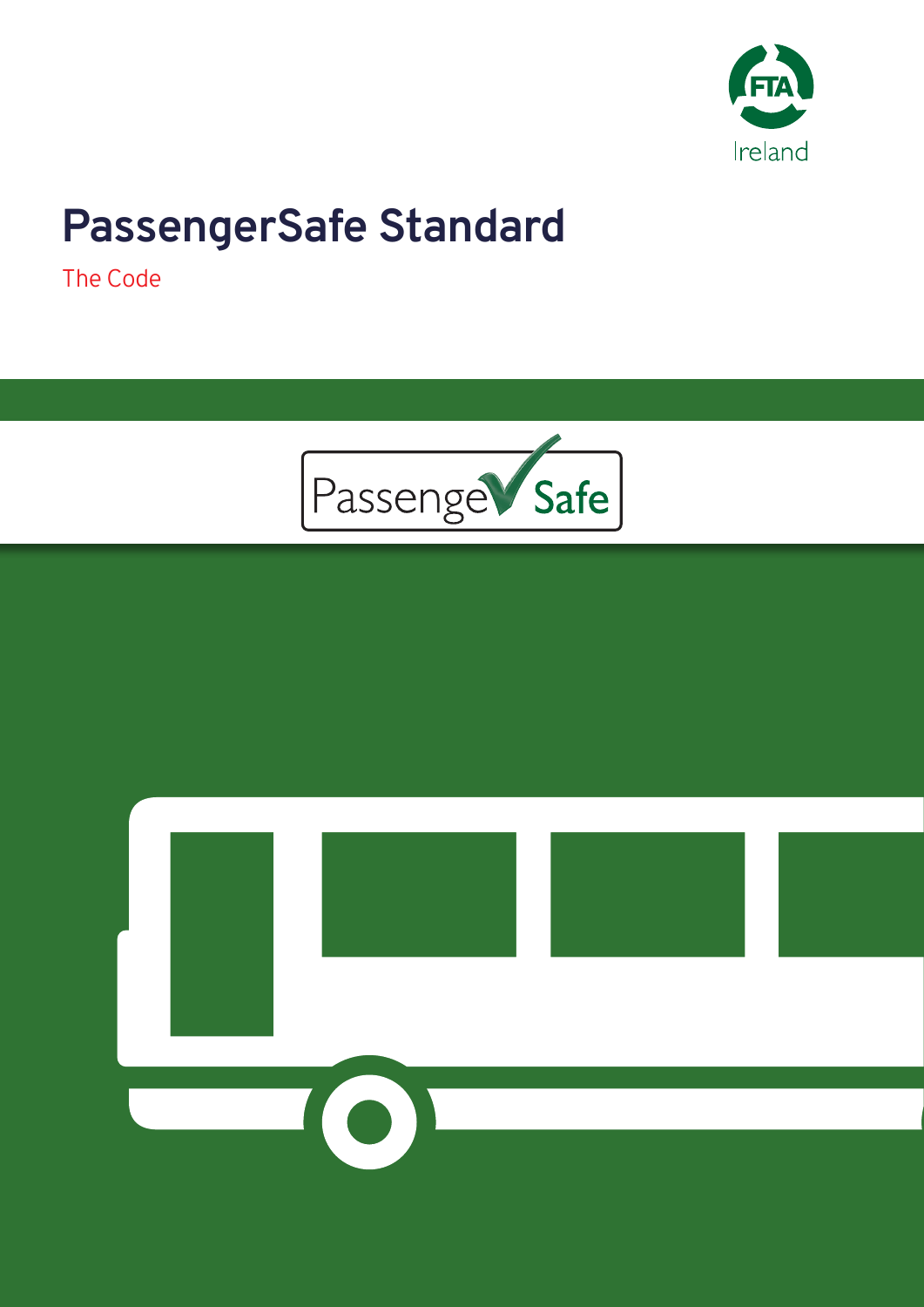

# **PassengerSafe Standard**

The Code



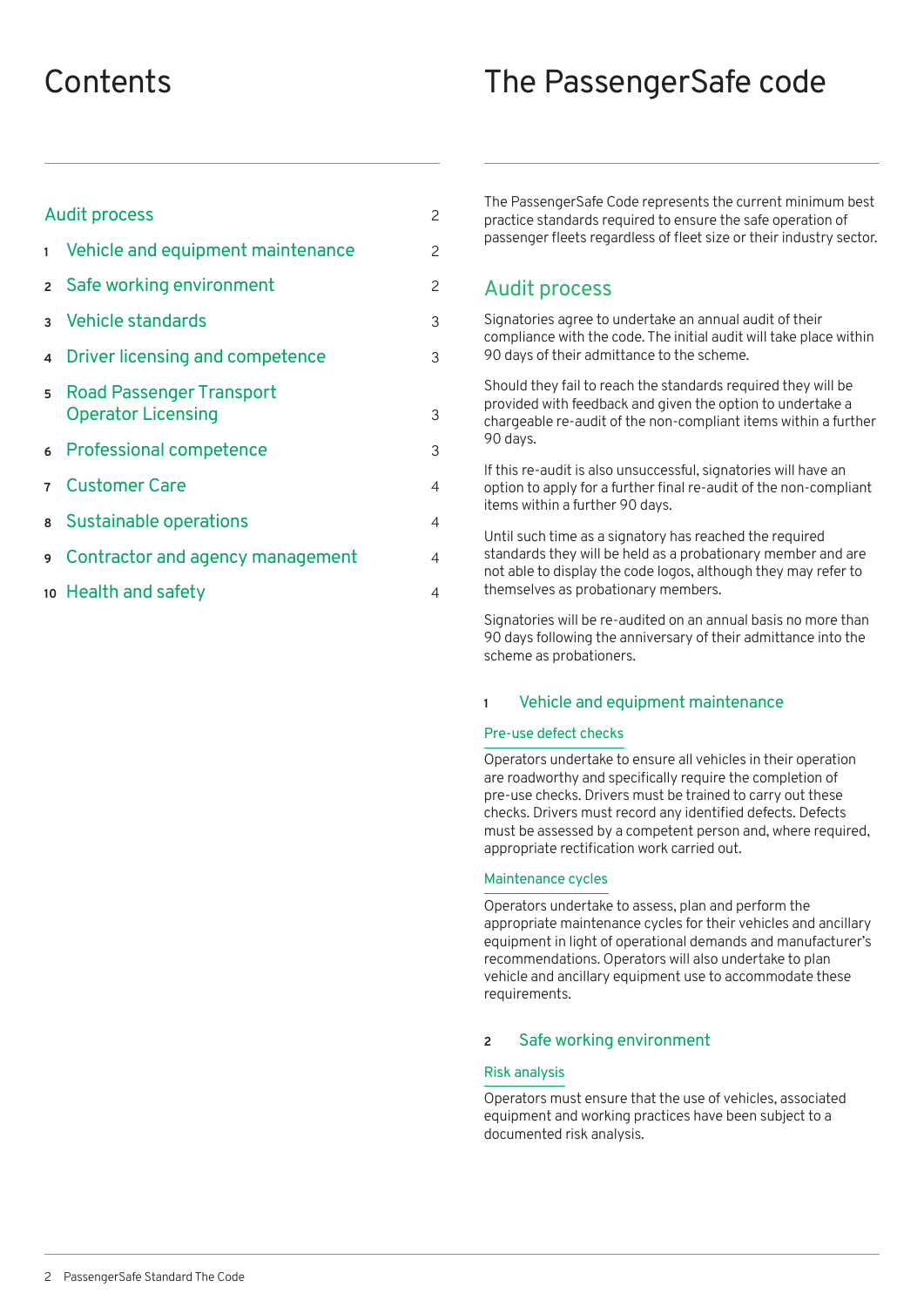## **Contents**

| The PassengerSafe code |  |
|------------------------|--|
|------------------------|--|

| <b>Audit process</b> |                                                              | $\overline{c}$ |
|----------------------|--------------------------------------------------------------|----------------|
| $\mathbf{1}$         | Vehicle and equipment maintenance                            | $\overline{c}$ |
|                      | 2 Safe working environment                                   | $\overline{c}$ |
|                      | 3 Vehicle standards                                          | 3              |
| $\overline{4}$       | Driver licensing and competence                              | 3              |
| 5                    | <b>Road Passenger Transport</b><br><b>Operator Licensing</b> | 3              |
|                      | 6 Professional competence                                    | 3              |
| $\overline{7}$       | <b>Customer Care</b>                                         | $\overline{4}$ |
| 8                    | <b>Sustainable operations</b>                                | $\overline{4}$ |
| 9                    | Contractor and agency management                             | $\overline{4}$ |
|                      | 10 Health and safety                                         | 4              |

The PassengerSafe Code represents the current minimum best practice standards required to ensure the safe operation of passenger fleets regardless of fleet size or their industry sector.

### Audit process

Signatories agree to undertake an annual audit of their compliance with the code. The initial audit will take place within 90 days of their admittance to the scheme.

Should they fail to reach the standards required they will be provided with feedback and given the option to undertake a chargeable re-audit of the non-compliant items within a further 90 days.

If this re-audit is also unsuccessful, signatories will have an option to apply for a further final re-audit of the non-compliant items within a further 90 days.

Until such time as a signatory has reached the required standards they will be held as a probationary member and are not able to display the code logos, although they may refer to themselves as probationary members.

Signatories will be re-audited on an annual basis no more than 90 days following the anniversary of their admittance into the scheme as probationers.

#### **1** Vehicle and equipment maintenance

#### Pre-use defect checks

Operators undertake to ensure all vehicles in their operation are roadworthy and specifically require the completion of pre-use checks. Drivers must be trained to carry out these checks. Drivers must record any identified defects. Defects must be assessed by a competent person and, where required, appropriate rectification work carried out.

#### Maintenance cycles

Operators undertake to assess, plan and perform the appropriate maintenance cycles for their vehicles and ancillary equipment in light of operational demands and manufacturer's recommendations. Operators will also undertake to plan vehicle and ancillary equipment use to accommodate these requirements.

#### **2** Safe working environment

#### Risk analysis

Operators must ensure that the use of vehicles, associated equipment and working practices have been subject to a documented risk analysis.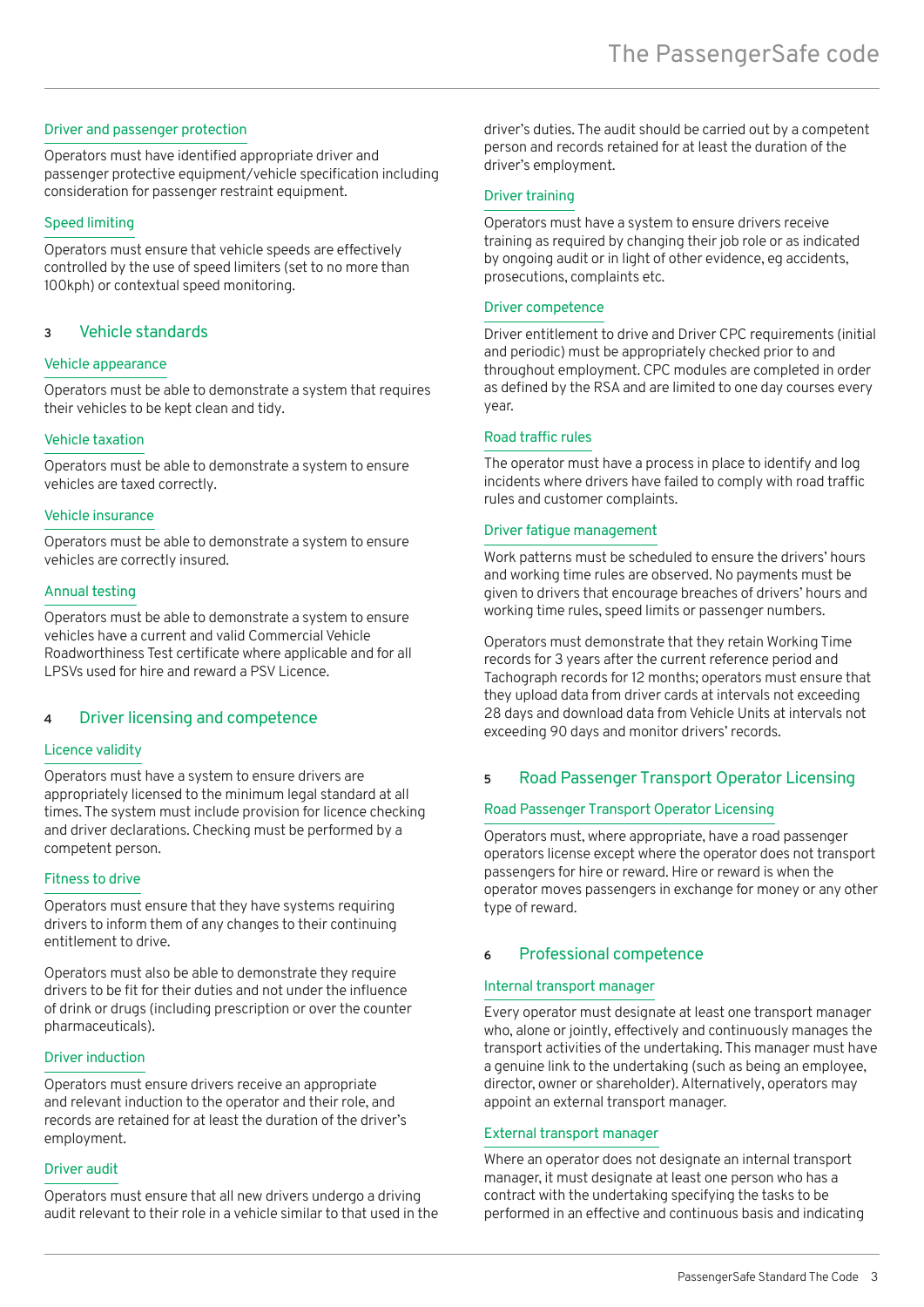#### Driver and passenger protection

Operators must have identified appropriate driver and passenger protective equipment/vehicle specification including consideration for passenger restraint equipment.

#### Speed limiting

Operators must ensure that vehicle speeds are effectively controlled by the use of speed limiters (set to no more than 100kph) or contextual speed monitoring.

#### **3** Vehicle standards

#### Vehicle appearance

Operators must be able to demonstrate a system that requires their vehicles to be kept clean and tidy.

#### Vehicle taxation

Operators must be able to demonstrate a system to ensure vehicles are taxed correctly.

#### Vehicle insurance

Operators must be able to demonstrate a system to ensure vehicles are correctly insured.

#### Annual testing

Operators must be able to demonstrate a system to ensure vehicles have a current and valid Commercial Vehicle Roadworthiness Test certificate where applicable and for all LPSVs used for hire and reward a PSV Licence.

#### **4** Driver licensing and competence

#### Licence validity

Operators must have a system to ensure drivers are appropriately licensed to the minimum legal standard at all times. The system must include provision for licence checking and driver declarations. Checking must be performed by a competent person.

#### Fitness to drive

Operators must ensure that they have systems requiring drivers to inform them of any changes to their continuing entitlement to drive.

Operators must also be able to demonstrate they require drivers to be fit for their duties and not under the influence of drink or drugs (including prescription or over the counter pharmaceuticals).

#### Driver induction

Operators must ensure drivers receive an appropriate and relevant induction to the operator and their role, and records are retained for at least the duration of the driver's employment.

#### Driver audit

Operators must ensure that all new drivers undergo a driving audit relevant to their role in a vehicle similar to that used in the driver's duties. The audit should be carried out by a competent person and records retained for at least the duration of the driver's employment.

#### Driver training

Operators must have a system to ensure drivers receive training as required by changing their job role or as indicated by ongoing audit or in light of other evidence, eg accidents, prosecutions, complaints etc.

#### Driver competence

Driver entitlement to drive and Driver CPC requirements (initial and periodic) must be appropriately checked prior to and throughout employment. CPC modules are completed in order as defined by the RSA and are limited to one day courses every year.

#### Road traffic rules

The operator must have a process in place to identify and log incidents where drivers have failed to comply with road traffic rules and customer complaints.

#### Driver fatigue management

Work patterns must be scheduled to ensure the drivers' hours and working time rules are observed. No payments must be given to drivers that encourage breaches of drivers' hours and working time rules, speed limits or passenger numbers.

Operators must demonstrate that they retain Working Time records for 3 years after the current reference period and Tachograph records for 12 months; operators must ensure that they upload data from driver cards at intervals not exceeding 28 days and download data from Vehicle Units at intervals not exceeding 90 days and monitor drivers' records.

#### **5** Road Passenger Transport Operator Licensing

#### Road Passenger Transport Operator Licensing

Operators must, where appropriate, have a road passenger operators license except where the operator does not transport passengers for hire or reward. Hire or reward is when the operator moves passengers in exchange for money or any other type of reward.

#### **6** Professional competence

#### Internal transport manager

Every operator must designate at least one transport manager who, alone or jointly, effectively and continuously manages the transport activities of the undertaking. This manager must have a genuine link to the undertaking (such as being an employee, director, owner or shareholder). Alternatively, operators may appoint an external transport manager.

#### External transport manager

Where an operator does not designate an internal transport manager, it must designate at least one person who has a contract with the undertaking specifying the tasks to be performed in an effective and continuous basis and indicating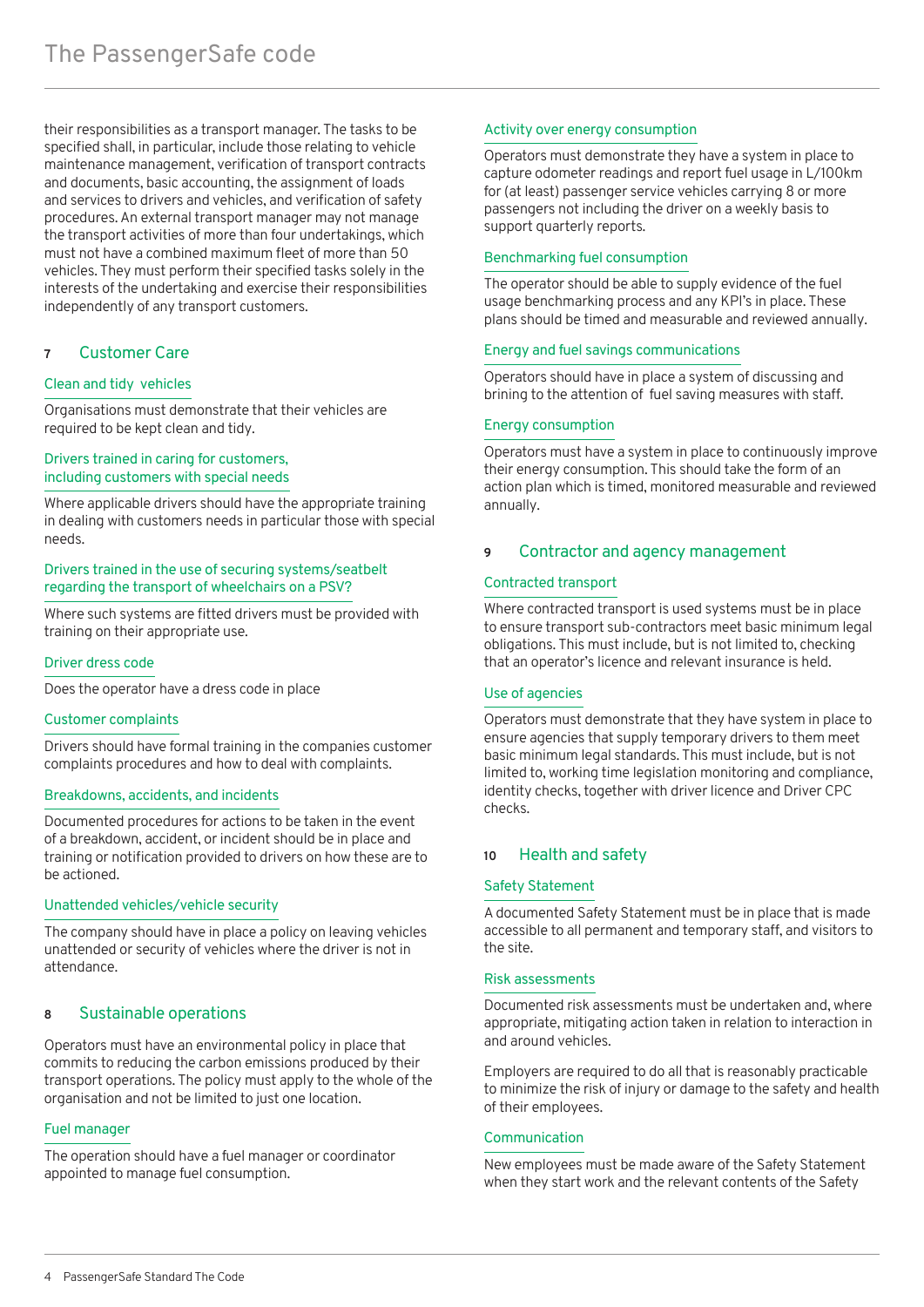their responsibilities as a transport manager. The tasks to be specified shall, in particular, include those relating to vehicle maintenance management, verification of transport contracts and documents, basic accounting, the assignment of loads and services to drivers and vehicles, and verification of safety procedures. An external transport manager may not manage the transport activities of more than four undertakings, which must not have a combined maximum fleet of more than 50 vehicles. They must perform their specified tasks solely in the interests of the undertaking and exercise their responsibilities independently of any transport customers.

#### **7** Customer Care

#### Clean and tidy vehicles

Organisations must demonstrate that their vehicles are required to be kept clean and tidy.

#### Drivers trained in caring for customers, including customers with special needs

Where applicable drivers should have the appropriate training in dealing with customers needs in particular those with special needs.

#### Drivers trained in the use of securing systems/seatbelt regarding the transport of wheelchairs on a PSV?

Where such systems are fitted drivers must be provided with training on their appropriate use.

#### Driver dress code

Does the operator have a dress code in place

#### Customer complaints

Drivers should have formal training in the companies customer complaints procedures and how to deal with complaints.

#### Breakdowns, accidents, and incidents

Documented procedures for actions to be taken in the event of a breakdown, accident, or incident should be in place and training or notification provided to drivers on how these are to be actioned.

#### Unattended vehicles/vehicle security

The company should have in place a policy on leaving vehicles unattended or security of vehicles where the driver is not in attendance.

#### **8** Sustainable operations

Operators must have an environmental policy in place that commits to reducing the carbon emissions produced by their transport operations. The policy must apply to the whole of the organisation and not be limited to just one location.

#### Fuel manager

The operation should have a fuel manager or coordinator appointed to manage fuel consumption.

#### Activity over energy consumption

Operators must demonstrate they have a system in place to capture odometer readings and report fuel usage in L/100km for (at least) passenger service vehicles carrying 8 or more passengers not including the driver on a weekly basis to support quarterly reports.

#### Benchmarking fuel consumption

The operator should be able to supply evidence of the fuel usage benchmarking process and any KPI's in place. These plans should be timed and measurable and reviewed annually.

#### Energy and fuel savings communications

Operators should have in place a system of discussing and brining to the attention of fuel saving measures with staff.

#### Energy consumption

Operators must have a system in place to continuously improve their energy consumption. This should take the form of an action plan which is timed, monitored measurable and reviewed annually.

#### **9** Contractor and agency management

#### Contracted transport

Where contracted transport is used systems must be in place to ensure transport sub-contractors meet basic minimum legal obligations. This must include, but is not limited to, checking that an operator's licence and relevant insurance is held.

#### Use of agencies

Operators must demonstrate that they have system in place to ensure agencies that supply temporary drivers to them meet basic minimum legal standards. This must include, but is not limited to, working time legislation monitoring and compliance, identity checks, together with driver licence and Driver CPC checks.

#### **10** Health and safety

#### Safety Statement

A documented Safety Statement must be in place that is made accessible to all permanent and temporary staff, and visitors to the site.

#### Risk assessments

Documented risk assessments must be undertaken and, where appropriate, mitigating action taken in relation to interaction in and around vehicles.

Employers are required to do all that is reasonably practicable to minimize the risk of injury or damage to the safety and health of their employees.

#### Communication

New employees must be made aware of the Safety Statement when they start work and the relevant contents of the Safety